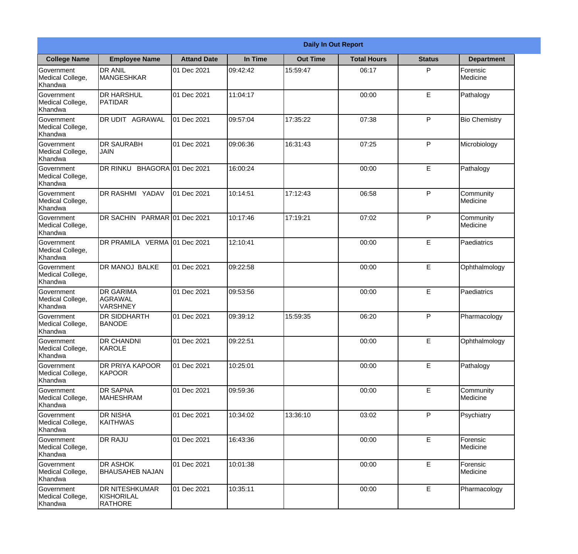|                                                  | <b>Daily In Out Report</b>                            |                    |          |                 |                    |               |                              |  |
|--------------------------------------------------|-------------------------------------------------------|--------------------|----------|-----------------|--------------------|---------------|------------------------------|--|
| <b>College Name</b>                              | <b>Employee Name</b>                                  | <b>Attand Date</b> | In Time  | <b>Out Time</b> | <b>Total Hours</b> | <b>Status</b> | <b>Department</b>            |  |
| Government<br>Medical College,<br>Khandwa        | <b>DR ANIL</b><br><b>MANGESHKAR</b>                   | 01 Dec 2021        | 09:42:42 | 15:59:47        | 06:17              | P             | Forensic<br>Medicine         |  |
| Government<br>Medical College,<br>Khandwa        | <b>DR HARSHUL</b><br>PATIDAR                          | 01 Dec 2021        | 11:04:17 |                 | 00:00              | E             | Pathalogy                    |  |
| <b>Government</b><br>Medical College,<br>Khandwa | <b>DR UDIT AGRAWAL</b>                                | 01 Dec 2021        | 09:57:04 | 17:35:22        | 07:38              | P             | <b>Bio Chemistry</b>         |  |
| <b>Government</b><br>Medical College,<br>Khandwa | <b>DR SAURABH</b><br><b>JAIN</b>                      | 01 Dec 2021        | 09:06:36 | 16:31:43        | 07:25              | P             | Microbiology                 |  |
| Government<br>Medical College,<br>Khandwa        | DR RINKU BHAGORA 01 Dec 2021                          |                    | 16:00:24 |                 | 00:00              | E             | Pathalogy                    |  |
| Government<br>Medical College,<br>Khandwa        | <b>IDR RASHMI YADAV</b>                               | 01 Dec 2021        | 10:14:51 | 17:12:43        | 06:58              | P             | Community<br><b>Medicine</b> |  |
| <b>Government</b><br>Medical College,<br>Khandwa | DR SACHIN PARMAR 01 Dec 2021                          |                    | 10:17:46 | 17:19:21        | 07:02              | P             | Community<br>Medicine        |  |
| <b>Government</b><br>Medical College,<br>Khandwa | DR PRAMILA VERMA 01 Dec 2021                          |                    | 12:10:41 |                 | 00:00              | E             | Paediatrics                  |  |
| Government<br>Medical College,<br>Khandwa        | <b>DR MANOJ BALKE</b>                                 | 01 Dec 2021        | 09:22:58 |                 | 00:00              | E             | Ophthalmology                |  |
| Government<br>Medical College,<br>Khandwa        | <b>DR GARIMA</b><br>AGRAWAL<br><b>VARSHNEY</b>        | 01 Dec 2021        | 09:53:56 |                 | 00:00              | $\mathsf E$   | Paediatrics                  |  |
| Government<br>Medical College,<br>Khandwa        | IDR SIDDHARTH<br><b>BANODE</b>                        | 01 Dec 2021        | 09:39:12 | 15:59:35        | 06:20              | P             | Pharmacology                 |  |
| Government<br>Medical College,<br>Khandwa        | <b>DR CHANDNI</b><br>KAROLE                           | 01 Dec 2021        | 09:22:51 |                 | 00:00              | E             | Ophthalmology                |  |
| Government<br>Medical College,<br>Khandwa        | <b>DR PRIYA KAPOOR</b><br><b>KAPOOR</b>               | 01 Dec 2021        | 10:25:01 |                 | 00:00              | E             | Pathalogy                    |  |
| Government<br>Medical College,<br>Khandwa        | <b>DR SAPNA</b><br><b>MAHESHRAM</b>                   | 01 Dec 2021        | 09:59:36 |                 | 00:00              | $\mathsf E$   | Community<br>Medicine        |  |
| Government<br>Medical College,<br>Khandwa        | <b>DR NISHA</b><br><b>KAITHWAS</b>                    | 01 Dec 2021        | 10:34:02 | 13:36:10        | 03:02              | $\mathsf{P}$  | Psychiatry                   |  |
| Government<br>Medical College,<br>Khandwa        | <b>DR RAJU</b>                                        | 01 Dec 2021        | 16:43:36 |                 | 00:00              | E             | Forensic<br>Medicine         |  |
| Government<br>Medical College,<br>Khandwa        | <b>DR ASHOK</b><br><b>BHAUSAHEB NAJAN</b>             | 01 Dec 2021        | 10:01:38 |                 | 00:00              | E             | Forensic<br>Medicine         |  |
| Government<br>Medical College,<br>Khandwa        | <b>DR NITESHKUMAR</b><br>KISHORILAL<br><b>RATHORE</b> | 01 Dec 2021        | 10:35:11 |                 | 00:00              | $\mathsf E$   | Pharmacology                 |  |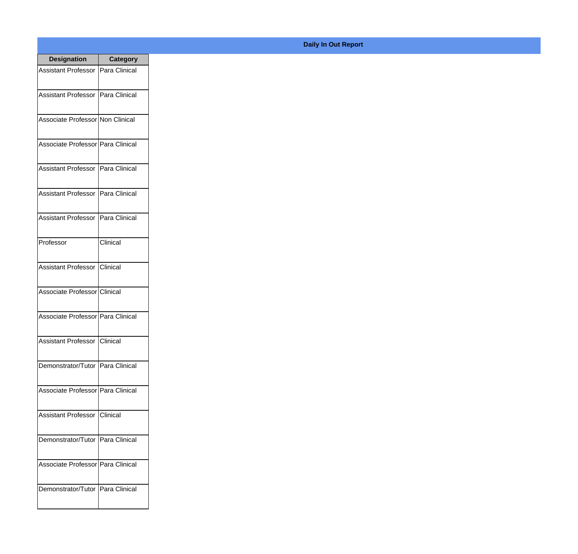| <b>Designation</b>                  | <b>Category</b> |
|-------------------------------------|-----------------|
| Assistant Professor   Para Clinical |                 |
| Assistant Professor   Para Clinical |                 |
| Associate Professor Non Clinical    |                 |
| Associate Professor Para Clinical   |                 |
| Assistant Professor   Para Clinical |                 |
| Assistant Professor   Para Clinical |                 |
| Assistant Professor   Para Clinical |                 |
| Professor                           | Clinical        |
| Assistant Professor   Clinical      |                 |
| Associate Professor Clinical        |                 |
| Associate Professor Para Clinical   |                 |
| Assistant Professor Clinical        |                 |
| Demonstrator/Tutor   Para Clinical  |                 |
| Associate Professor Para Clinical   |                 |
| Assistant Professor   Clinical      |                 |
| Demonstrator/Tutor   Para Clinical  |                 |
| Associate Professor   Para Clinical |                 |
| Demonstrator/Tutor   Para Clinical  |                 |

## **Daily In Out Report**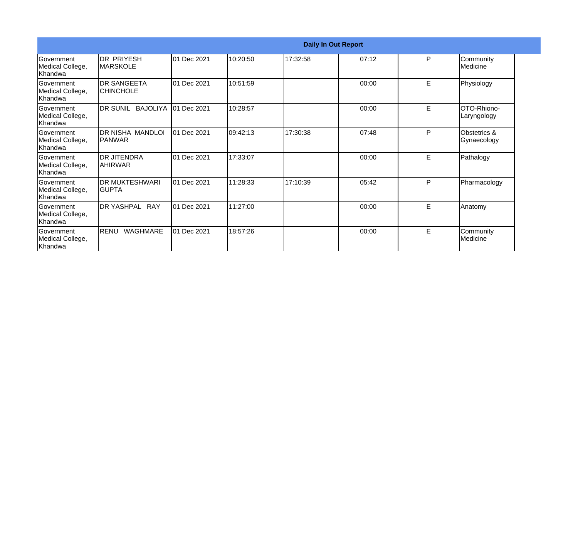|                                                  | <b>Daily In Out Report</b>             |             |          |          |       |   |                             |  |
|--------------------------------------------------|----------------------------------------|-------------|----------|----------|-------|---|-----------------------------|--|
| Government<br>Medical College,<br>Khandwa        | DR PRIYESH<br><b>MARSKOLE</b>          | 01 Dec 2021 | 10:20:50 | 17:32:58 | 07:12 | P | Community<br>Medicine       |  |
| Government<br>Medical College,<br>Khandwa        | <b>DR SANGEETA</b><br><b>CHINCHOLE</b> | 01 Dec 2021 | 10:51:59 |          | 00:00 | E | Physiology                  |  |
| Government<br>Medical College,<br>Khandwa        | DR SUNIL<br><b>BAJOLIYA</b>            | 01 Dec 2021 | 10:28:57 |          | 00:00 | E | OTO-Rhiono-<br>Laryngology  |  |
| <b>Government</b><br>Medical College,<br>Khandwa | <b>DR NISHA MANDLOI</b><br>IPANWAR     | 01 Dec 2021 | 09:42:13 | 17:30:38 | 07:48 | P | Obstetrics &<br>Gynaecology |  |
| Government<br>Medical College,<br>Khandwa        | <b>DR JITENDRA</b><br>IAHIRWAR         | 01 Dec 2021 | 17:33:07 |          | 00:00 | E | Pathalogy                   |  |
| <b>Government</b><br>Medical College,<br>Khandwa | <b>DR MUKTESHWARI</b><br>IGUPTA        | 01 Dec 2021 | 11:28:33 | 17:10:39 | 05:42 | P | Pharmacology                |  |
| <b>Government</b><br>Medical College,<br>Khandwa | DR YASHPAL RAY                         | 01 Dec 2021 | 11:27:00 |          | 00:00 | E | Anatomy                     |  |
| Government<br>Medical College,<br>Khandwa        | RENU<br><b>WAGHMARE</b>                | 01 Dec 2021 | 18:57:26 |          | 00:00 | E | Community<br>Medicine       |  |